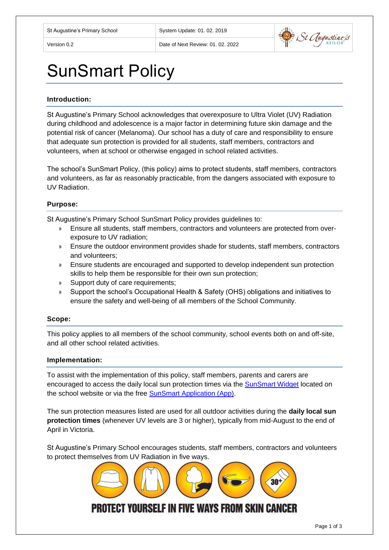

# SunSmart Policy

#### **Introduction:**

St Augustine's Primary School acknowledges that overexposure to Ultra Violet (UV) Radiation during childhood and adolescence is a major factor in determining future skin damage and the potential risk of cancer (Melanoma). Our school has a duty of care and responsibility to ensure that adequate sun protection is provided for all students, staff members, contractors and volunteers, when at school or otherwise engaged in school related activities.

The school's SunSmart Policy, (this policy) aims to protect students, staff members, contractors and volunteers, as far as reasonably practicable, from the dangers associated with exposure to UV Radiation.

#### **Purpose:**

St Augustine's Primary School SunSmart Policy provides guidelines to:

- » Ensure all students, staff members, contractors and volunteers are protected from overexposure to UV radiation;
- » Ensure the outdoor environment provides shade for students, staff members, contractors and volunteers;
- » Ensure students are encouraged and supported to develop independent sun protection skills to help them be responsible for their own sun protection;
- » Support duty of care requirements;
- » Support the school's Occupational Health & Safety (OHS) obligations and initiatives to ensure the safety and well-being of all members of the School Community.

#### **Scope:**

This policy applies to all members of the school community, school events both on and off-site, and all other school related activities.

#### **Implementation:**

To assist with the implementation of this policy, staff members, parents and carers are encouraged to access the daily local sun protection times via the [SunSmart Widget](http://www.sunsmart.com.au/uv-sun-protection/uv/uv-widget) located on the school website or via the free [SunSmart Application \(App\).](http://www.sunsmart.com.au/tools/interactive-tools/free-sunsmart-app)

The sun protection measures listed are used for all outdoor activities during the **daily local sun protection times** (whenever UV levels are 3 or higher), typically from mid-August to the end of April in Victoria.

St Augustine's Primary School encourages students, staff members, contractors and volunteers to protect themselves from UV Radiation in five ways.

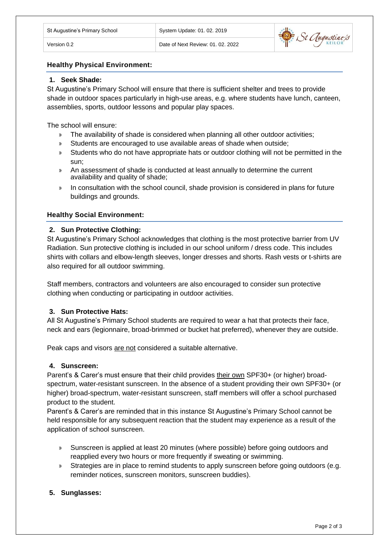# **Healthy Physical Environment:**

# **1. Seek Shade:**

St Augustine's Primary School will ensure that there is sufficient shelter and trees to provide shade in outdoor spaces particularly in high-use areas, e.g. where students have lunch, canteen, assemblies, sports, outdoor lessons and popular play spaces.

The school will ensure:

- » The availability of shade is considered when planning all other outdoor activities;
- » Students are encouraged to use available areas of shade when outside;
- » Students who do not have appropriate hats or outdoor clothing will not be permitted in the sun;
- » An assessment of shade is conducted at least annually to determine the current availability and quality of shade;
- » In consultation with the school council, shade provision is considered in plans for future buildings and grounds.

#### **Healthy Social Environment:**

#### **2. Sun Protective Clothing:**

St Augustine's Primary School acknowledges that clothing is the most protective barrier from UV Radiation. Sun protective clothing is included in our school uniform / dress code. This includes shirts with collars and elbow-length sleeves, longer dresses and shorts. Rash vests or t-shirts are also required for all outdoor swimming.

Staff members, contractors and volunteers are also encouraged to consider sun protective clothing when conducting or participating in outdoor activities.

# **3. Sun Protective Hats:**

All St Augustine's Primary School students are required to wear a hat that protects their face, neck and ears (legionnaire, broad-brimmed or bucket hat preferred), whenever they are outside.

Peak caps and visors are not considered a suitable alternative.

#### **4. Sunscreen:**

Parent's & Carer's must ensure that their child provides their own SPF30+ (or higher) broadspectrum, water-resistant sunscreen. In the absence of a student providing their own SPF30+ (or higher) broad-spectrum, water-resistant sunscreen, staff members will offer a school purchased product to the student.

Parent's & Carer's are reminded that in this instance St Augustine's Primary School cannot be held responsible for any subsequent reaction that the student may experience as a result of the application of school sunscreen.

- » Sunscreen is applied at least 20 minutes (where possible) before going outdoors and reapplied every two hours or more frequently if sweating or swimming.
- » Strategies are in place to remind students to apply sunscreen before going outdoors (e.g. reminder notices, sunscreen monitors, sunscreen buddies).

# **5. Sunglasses:**